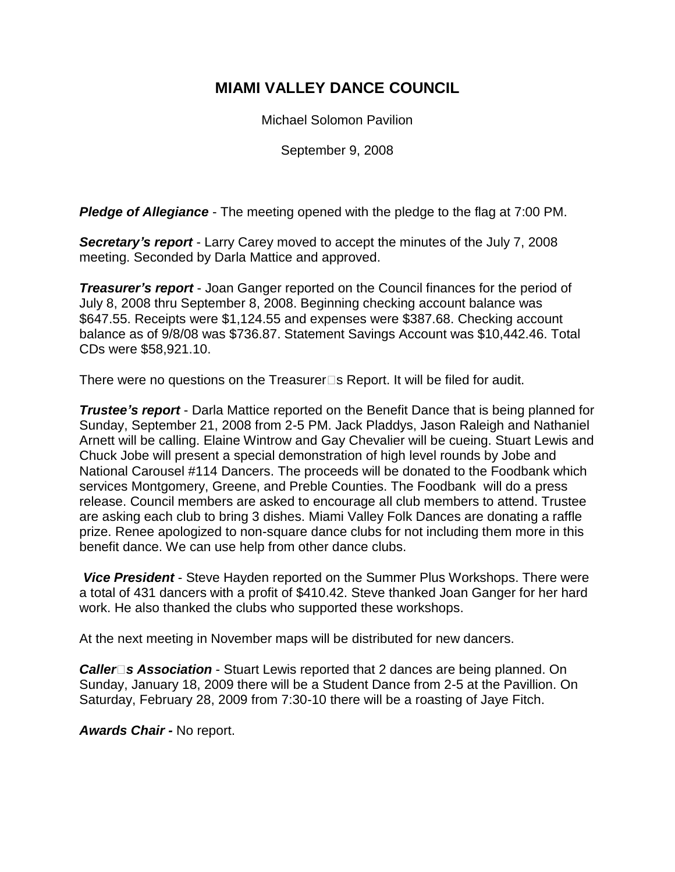## **MIAMI VALLEY DANCE COUNCIL**

Michael Solomon Pavilion

September 9, 2008

*Pledge of Allegiance* - The meeting opened with the pledge to the flag at 7:00 PM.

*Secretary's report* - Larry Carey moved to accept the minutes of the July 7, 2008 meeting. Seconded by Darla Mattice and approved.

*Treasurer's report* - Joan Ganger reported on the Council finances for the period of July 8, 2008 thru September 8, 2008. Beginning checking account balance was \$647.55. Receipts were \$1,124.55 and expenses were \$387.68. Checking account balance as of 9/8/08 was \$736.87. Statement Savings Account was \$10,442.46. Total CDs were \$58,921.10.

There were no questions on the Treasurer $\square$ s Report. It will be filed for audit.

*Trustee's report* - Darla Mattice reported on the Benefit Dance that is being planned for Sunday, September 21, 2008 from 2-5 PM. Jack Pladdys, Jason Raleigh and Nathaniel Arnett will be calling. Elaine Wintrow and Gay Chevalier will be cueing. Stuart Lewis and Chuck Jobe will present a special demonstration of high level rounds by Jobe and National Carousel #114 Dancers. The proceeds will be donated to the Foodbank which services Montgomery, Greene, and Preble Counties. The Foodbank will do a press release. Council members are asked to encourage all club members to attend. Trustee are asking each club to bring 3 dishes. Miami Valley Folk Dances are donating a raffle prize. Renee apologized to non-square dance clubs for not including them more in this benefit dance. We can use help from other dance clubs.

*Vice President* - Steve Hayden reported on the Summer Plus Workshops. There were a total of 431 dancers with a profit of \$410.42. Steve thanked Joan Ganger for her hard work. He also thanked the clubs who supported these workshops.

At the next meeting in November maps will be distributed for new dancers.

**Caller**□s Association - Stuart Lewis reported that 2 dances are being planned. On Sunday, January 18, 2009 there will be a Student Dance from 2-5 at the Pavillion. On Saturday, February 28, 2009 from 7:30-10 there will be a roasting of Jaye Fitch.

*Awards Chair -* No report.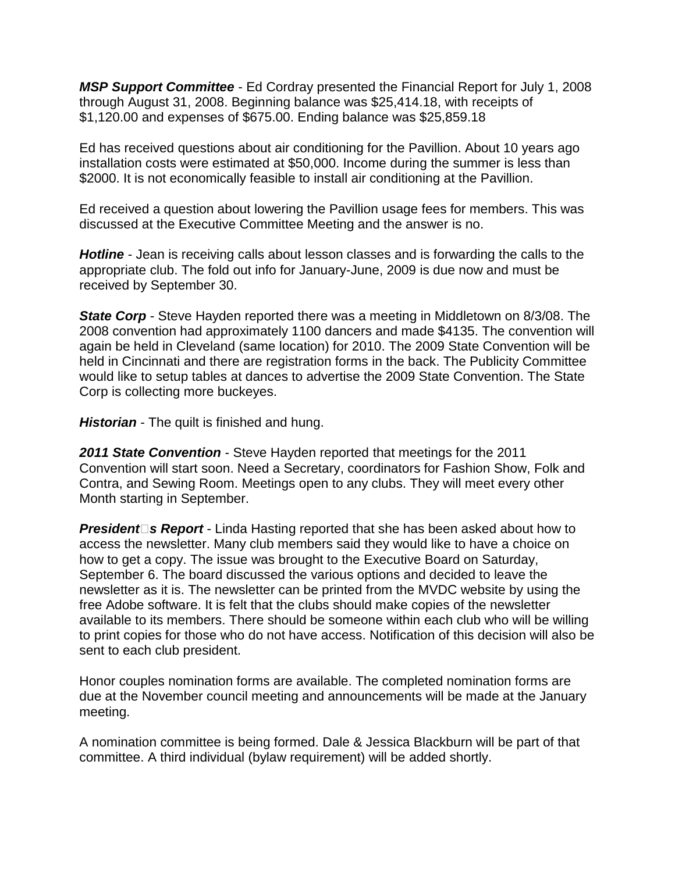*MSP Support Committee* - Ed Cordray presented the Financial Report for July 1, 2008 through August 31, 2008. Beginning balance was \$25,414.18, with receipts of \$1,120.00 and expenses of \$675.00. Ending balance was \$25,859.18

Ed has received questions about air conditioning for the Pavillion. About 10 years ago installation costs were estimated at \$50,000. Income during the summer is less than \$2000. It is not economically feasible to install air conditioning at the Pavillion.

Ed received a question about lowering the Pavillion usage fees for members. This was discussed at the Executive Committee Meeting and the answer is no.

*Hotline* - Jean is receiving calls about lesson classes and is forwarding the calls to the appropriate club. The fold out info for January-June, 2009 is due now and must be received by September 30.

**State Corp** - Steve Hayden reported there was a meeting in Middletown on 8/3/08. The 2008 convention had approximately 1100 dancers and made \$4135. The convention will again be held in Cleveland (same location) for 2010. The 2009 State Convention will be held in Cincinnati and there are registration forms in the back. The Publicity Committee would like to setup tables at dances to advertise the 2009 State Convention. The State Corp is collecting more buckeyes.

*Historian* - The quilt is finished and hung.

*2011 State Convention* - Steve Hayden reported that meetings for the 2011 Convention will start soon. Need a Secretary, coordinators for Fashion Show, Folk and Contra, and Sewing Room. Meetings open to any clubs. They will meet every other Month starting in September.

*President* S Report - Linda Hasting reported that she has been asked about how to access the newsletter. Many club members said they would like to have a choice on how to get a copy. The issue was brought to the Executive Board on Saturday, September 6. The board discussed the various options and decided to leave the newsletter as it is. The newsletter can be printed from the MVDC website by using the free Adobe software. It is felt that the clubs should make copies of the newsletter available to its members. There should be someone within each club who will be willing to print copies for those who do not have access. Notification of this decision will also be sent to each club president.

Honor couples nomination forms are available. The completed nomination forms are due at the November council meeting and announcements will be made at the January meeting.

A nomination committee is being formed. Dale & Jessica Blackburn will be part of that committee. A third individual (bylaw requirement) will be added shortly.